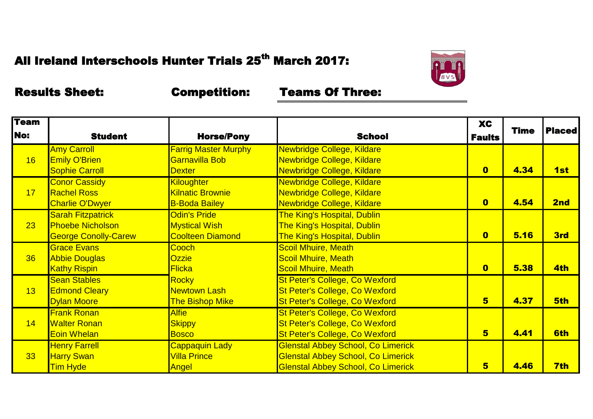

| <b>Team</b> |                             |                             |                                           | <b>XC</b>               | <b>Time</b> | <b>Placed</b> |
|-------------|-----------------------------|-----------------------------|-------------------------------------------|-------------------------|-------------|---------------|
| <b>No:</b>  | <b>Student</b>              | <b>Horse/Pony</b>           | <b>School</b>                             | <b>Faults</b>           |             |               |
|             | <b>Amy Carroll</b>          | <b>Farrig Master Murphy</b> | Newbridge College, Kildare                |                         |             |               |
| 16          | <b>Emily O'Brien</b>        | Garnavilla Bob              | Newbridge College, Kildare                |                         |             |               |
|             | <b>Sophie Carroll</b>       | <b>Dexter</b>               | Newbridge College, Kildare                | $\bullet$               | 4.34        | 1st           |
|             | <b>Conor Cassidy</b>        | <b>Kiloughter</b>           | Newbridge College, Kildare                |                         |             |               |
| 17          | <b>Rachel Ross</b>          | <b>Kilnatic Brownie</b>     | Newbridge College, Kildare                |                         |             |               |
|             | <b>Charlie O'Dwyer</b>      | <b>B-Boda Bailey</b>        | Newbridge College, Kildare                | $\bullet$               | 4.54        | 2nd           |
|             | <b>Sarah Fitzpatrick</b>    | Odin's Pride                | <b>The King's Hospital, Dublin</b>        |                         |             |               |
| 23          | <b>Phoebe Nicholson</b>     | <b>Mystical Wish</b>        | <b>The King's Hospital, Dublin</b>        |                         |             |               |
|             | <b>George Conolly-Carew</b> | <b>Coolteen Diamond</b>     | <b>The King's Hospital, Dublin</b>        | $\bullet$               | 5.16        | 3rd           |
|             | <b>Grace Evans</b>          | Cooch                       | <b>Scoil Mhuire, Meath</b>                |                         |             |               |
| 36          | <b>Abbie Douglas</b>        | <b>Ozzie</b>                | <b>Scoil Mhuire, Meath</b>                |                         |             |               |
|             | <b>Kathy Rispin</b>         | <b>Flicka</b>               | <b>Scoil Mhuire, Meath</b>                | $\overline{\mathbf{0}}$ | 5.38        | 4th           |
|             | <b>Sean Stables</b>         | Rocky                       | <b>St Peter's College, Co Wexford</b>     |                         |             |               |
| 13          | <b>Edmond Cleary</b>        | <b>Newtown Lash</b>         | <b>St Peter's College, Co Wexford</b>     |                         |             |               |
|             | <b>Dylan Moore</b>          | <b>The Bishop Mike</b>      | <b>St Peter's College, Co Wexford</b>     | $5\overline{)}$         | 4.37        | 5th           |
|             | <b>Frank Ronan</b>          | <b>Alfie</b>                | <b>St Peter's College, Co Wexford</b>     |                         |             |               |
| 14          | <b>Walter Ronan</b>         | <b>Skippy</b>               | <b>St Peter's College, Co Wexford</b>     |                         |             |               |
|             | <b>Eoin Whelan</b>          | <b>Bosco</b>                | <b>St Peter's College, Co Wexford</b>     | 5                       | 4.41        | 6th           |
|             | <b>Henry Farrell</b>        | Cappaquin Lady              | <b>Glenstal Abbey School, Co Limerick</b> |                         |             |               |
| 33          | <b>Harry Swan</b>           | <b>Villa Prince</b>         | <b>Glenstal Abbey School, Co Limerick</b> |                         |             |               |
|             | <b>Tim Hyde</b>             | Angel                       | <b>Glenstal Abbey School, Co Limerick</b> | $5\overline{)}$         | 4.46        | 7th           |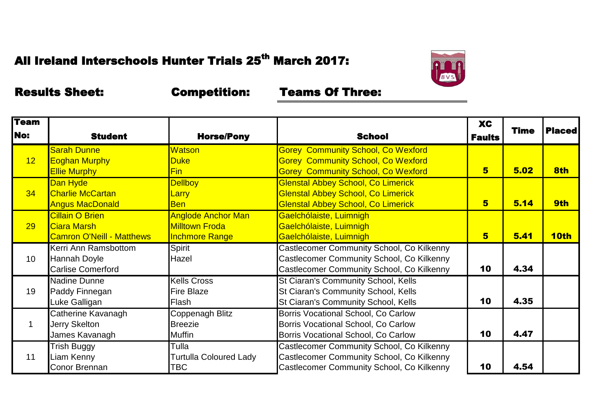

| <b>Team</b><br><b>No:</b> | <b>Student</b>                                                            | <b>Horse/Pony</b>                                                           | <b>School</b>                                                                                                                       | <b>XC</b><br><b>Faults</b> | <b>Time</b> | <b>Placed</b> |
|---------------------------|---------------------------------------------------------------------------|-----------------------------------------------------------------------------|-------------------------------------------------------------------------------------------------------------------------------------|----------------------------|-------------|---------------|
| 12                        | <b>Sarah Dunne</b><br><b>Eoghan Murphy</b><br><b>Ellie Murphy</b>         | <b>Watson</b><br><b>Duke</b><br><b>Fin</b>                                  | <b>Gorey Community School, Co Wexford</b><br><b>Gorey Community School, Co Wexford</b><br><b>Gorey Community School, Co Wexford</b> | 5                          | 5.02        | 8th           |
| 34                        | Dan Hyde<br><b>Charlie McCartan</b><br><b>Angus MacDonald</b>             | <b>Dellboy</b><br>Larry<br><b>Ben</b>                                       | <b>Glenstal Abbey School, Co Limerick</b><br><b>Glenstal Abbey School, Co Limerick</b><br><b>Glenstal Abbey School, Co Limerick</b> | 5                          | 5.14        | 9th           |
| 29                        | <b>Cillain O Brien</b><br>Ciara Marsh<br><b>Camron O'Neill - Matthews</b> | <b>Anglode Anchor Man</b><br><b>Milltown Froda</b><br><b>Inchmore Range</b> | Gaelchólaiste, Luimnigh<br>Gaelchólaiste, Luimnigh<br>Gaelchólaiste, Luimnigh                                                       | 5                          | 5.41        | <b>10th</b>   |
| 10                        | Kerri Ann Ramsbottom<br><b>Hannah Doyle</b><br><b>Carlise Comerford</b>   | Spirit<br>Hazel                                                             | Castlecomer Community School, Co Kilkenny<br>Castlecomer Community School, Co Kilkenny<br>Castlecomer Community School, Co Kilkenny | 10                         | 4.34        |               |
| 19                        | <b>Nadine Dunne</b><br>Paddy Finnegan<br>Luke Galligan                    | <b>Kells Cross</b><br><b>Fire Blaze</b><br>Flash                            | St Ciaran's Community School, Kells<br>St Ciaran's Community School, Kells<br>St Ciaran's Community School, Kells                   | 10                         | 4.35        |               |
|                           | Catherine Kavanagh<br>Jerry Skelton<br>James Kavanagh                     | Coppenagh Blitz<br><b>Breezie</b><br><b>Muffin</b>                          | Borris Vocational School, Co Carlow<br>Borris Vocational School, Co Carlow<br>Borris Vocational School, Co Carlow                   | 10                         | 4.47        |               |
| 11                        | <b>Trish Buggy</b><br>Liam Kenny<br>Conor Brennan                         | Tulla<br><b>Turtulla Coloured Lady</b><br>TBC                               | Castlecomer Community School, Co Kilkenny<br>Castlecomer Community School, Co Kilkenny<br>Castlecomer Community School, Co Kilkenny | 10                         | 4.54        |               |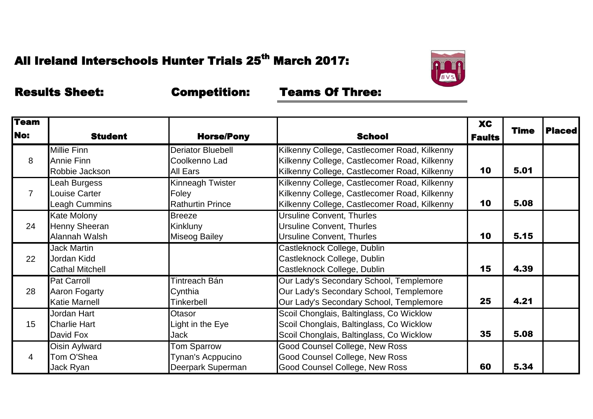

| <b>Team</b> |                        |                         |                                              | <b>XC</b>     |             |               |
|-------------|------------------------|-------------------------|----------------------------------------------|---------------|-------------|---------------|
| <b>No:</b>  | <b>Student</b>         | <b>Horse/Pony</b>       | <b>School</b>                                | <b>Faults</b> | <b>Time</b> | <b>Placed</b> |
|             | <b>Millie Finn</b>     | Deriator Bluebell       | Kilkenny College, Castlecomer Road, Kilkenny |               |             |               |
| 8           | Annie Finn             | Coolkenno Lad           | Kilkenny College, Castlecomer Road, Kilkenny |               |             |               |
|             | Robbie Jackson         | All Ears                | Kilkenny College, Castlecomer Road, Kilkenny | 10            | 5.01        |               |
|             | Leah Burgess           | Kinneagh Twister        | Kilkenny College, Castlecomer Road, Kilkenny |               |             |               |
| 7           | Louise Carter          | Foley                   | Kilkenny College, Castlecomer Road, Kilkenny |               |             |               |
|             | Leagh Cummins          | <b>Rathurtin Prince</b> | Kilkenny College, Castlecomer Road, Kilkenny | 10            | 5.08        |               |
|             | Kate Molony            | <b>Breeze</b>           | <b>Ursuline Convent, Thurles</b>             |               |             |               |
| 24          | Henny Sheeran          | Kinkluny                | <b>Ursuline Convent, Thurles</b>             |               |             |               |
|             | Alannah Walsh          | <b>Miseog Bailey</b>    | <b>Ursuline Convent, Thurles</b>             | 10            | 5.15        |               |
|             | Jack Martin            |                         | Castleknock College, Dublin                  |               |             |               |
| 22          | Jordan Kidd            |                         | Castleknock College, Dublin                  |               |             |               |
|             | <b>Cathal Mitchell</b> |                         | Castleknock College, Dublin                  | 15            | 4.39        |               |
|             | Pat Carroll            | Tintreach Bán           | Our Lady's Secondary School, Templemore      |               |             |               |
| 28          | Aaron Fogarty          | Cynthia                 | Our Lady's Secondary School, Templemore      |               |             |               |
|             | <b>Katie Marnell</b>   | Tinkerbell              | Our Lady's Secondary School, Templemore      | 25            | 4.21        |               |
|             | Jordan Hart            | Otasor                  | Scoil Chonglais, Baltinglass, Co Wicklow     |               |             |               |
| 15          | <b>Charlie Hart</b>    | Light in the Eye        | Scoil Chonglais, Baltinglass, Co Wicklow     |               |             |               |
|             | David Fox              | Jack                    | Scoil Chonglais, Baltinglass, Co Wicklow     | 35            | 5.08        |               |
| 4           | Oisin Aylward          | <b>Tom Sparrow</b>      | <b>Good Counsel College, New Ross</b>        |               |             |               |
|             | Tom O'Shea             | Tynan's Acppucino       | Good Counsel College, New Ross               |               |             |               |
|             | Jack Ryan              | Deerpark Superman       | Good Counsel College, New Ross               | 60            | 5.34        |               |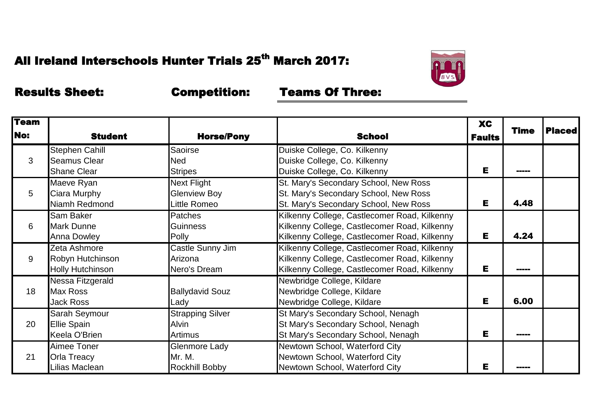

| <b>Team</b><br><b>No:</b> |                         |                         |                                              | <b>XC</b>     | <b>Time</b>   | <b>Placed</b> |
|---------------------------|-------------------------|-------------------------|----------------------------------------------|---------------|---------------|---------------|
|                           | <b>Student</b>          | <b>Horse/Pony</b>       | <b>School</b>                                | <b>Faults</b> |               |               |
|                           | <b>Stephen Cahill</b>   | <b>Saoirse</b>          | Duiske College, Co. Kilkenny                 |               |               |               |
| 3                         | Seamus Clear            | Ned                     | Duiske College, Co. Kilkenny                 |               |               |               |
|                           | <b>Shane Clear</b>      | <b>Stripes</b>          | Duiske College, Co. Kilkenny                 | Е             | <b>MARKET</b> |               |
|                           | Maeve Ryan              | Next Flight             | St. Mary's Secondary School, New Ross        |               |               |               |
| 5                         | Ciara Murphy            | <b>Glenview Boy</b>     | St. Mary's Secondary School, New Ross        |               |               |               |
|                           | Niamh Redmond           | Little Romeo            | St. Mary's Secondary School, New Ross        | Е             | 4.48          |               |
|                           | Sam Baker               | Patches                 | Kilkenny College, Castlecomer Road, Kilkenny |               |               |               |
| 6                         | <b>Mark Dunne</b>       | <b>Guinness</b>         | Kilkenny College, Castlecomer Road, Kilkenny |               |               |               |
|                           | <b>Anna Dowley</b>      | Polly                   | Kilkenny College, Castlecomer Road, Kilkenny | Е             | 4.24          |               |
|                           | Zeta Ashmore            | Castle Sunny Jim        | Kilkenny College, Castlecomer Road, Kilkenny |               |               |               |
| 9                         | Robyn Hutchinson        | Arizona                 | Kilkenny College, Castlecomer Road, Kilkenny |               |               |               |
|                           | <b>Holly Hutchinson</b> | Nero's Dream            | Kilkenny College, Castlecomer Road, Kilkenny | Е             |               |               |
|                           | Nessa Fitzgerald        |                         | Newbridge College, Kildare                   |               |               |               |
| 18                        | <b>Max Ross</b>         | <b>Ballydavid Souz</b>  | Newbridge College, Kildare                   |               |               |               |
|                           | Jack Ross               | Lady                    | Newbridge College, Kildare                   | Е             | 6.00          |               |
|                           | Sarah Seymour           | <b>Strapping Silver</b> | St Mary's Secondary School, Nenagh           |               |               |               |
| 20                        | <b>Ellie Spain</b>      | Alvin                   | St Mary's Secondary School, Nenagh           |               |               |               |
|                           | Keela O'Brien           | Artimus                 | St Mary's Secondary School, Nenagh           | Е             | -----         |               |
| 21                        | Aimee Toner             | Glenmore Lady           | Newtown School, Waterford City               |               |               |               |
|                           | <b>Orla Treacy</b>      | Mr. M.                  | Newtown School, Waterford City               |               |               |               |
|                           | Lilias Maclean          | <b>Rockhill Bobby</b>   | Newtown School, Waterford City               | Е             |               |               |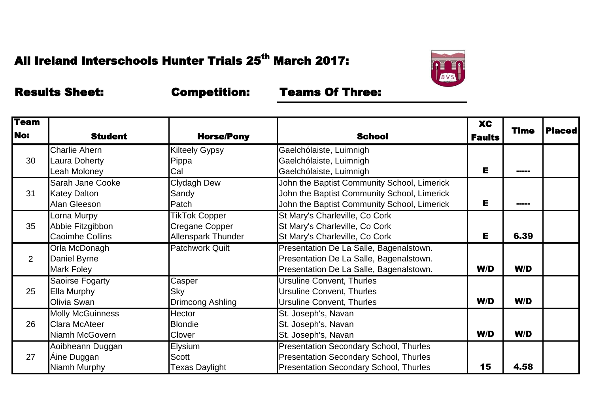

| <b>Team</b>    |                         |                        |                                               | <b>XC</b>     | <b>Time</b> | <b>Placed</b> |
|----------------|-------------------------|------------------------|-----------------------------------------------|---------------|-------------|---------------|
| <b>No:</b>     | <b>Student</b>          | <b>Horse/Pony</b>      | <b>School</b>                                 | <b>Faults</b> |             |               |
|                | <b>Charlie Ahern</b>    | <b>Kilteely Gypsy</b>  | Gaelchólaiste, Luimnigh                       |               |             |               |
| 30             | Laura Doherty           | Pippa                  | Gaelchólaiste, Luimnigh                       |               |             |               |
|                | Leah Moloney            | Cal                    | Gaelchólaiste, Luimnigh                       | Е             | -----       |               |
|                | Sarah Jane Cooke        | Clydagh Dew            | John the Baptist Community School, Limerick   |               |             |               |
| 31             | <b>Katey Dalton</b>     | Sandy                  | John the Baptist Community School, Limerick   |               |             |               |
|                | Alan Gleeson            | Patch                  | John the Baptist Community School, Limerick   | Е             | -----       |               |
|                | Lorna Murpy             | <b>TikTok Copper</b>   | St Mary's Charleville, Co Cork                |               |             |               |
| 35             | Abbie Fitzgibbon        | Cregane Copper         | St Mary's Charleville, Co Cork                |               |             |               |
|                | <b>Caoimhe Collins</b>  | Allenspark Thunder     | St Mary's Charleville, Co Cork                | Е             | 6.39        |               |
|                | Orla McDonagh           | <b>Patchwork Quilt</b> | Presentation De La Salle, Bagenalstown.       |               |             |               |
| $\overline{2}$ | Daniel Byrne            |                        | Presentation De La Salle, Bagenalstown.       |               |             |               |
|                | Mark Foley              |                        | Presentation De La Salle, Bagenalstown.       | W/D           | W/D         |               |
|                | Saoirse Fogarty         | Casper                 | <b>Ursuline Convent, Thurles</b>              |               |             |               |
| 25             | Ella Murphy             | Sky                    | <b>Ursuline Convent, Thurles</b>              |               |             |               |
|                | Olivia Swan             | Drimcong Ashling       | <b>Ursuline Convent, Thurles</b>              | W/D           | W/D         |               |
|                | <b>Molly McGuinness</b> | Hector                 | St. Joseph's, Navan                           |               |             |               |
| 26             | Clara McAteer           | <b>Blondie</b>         | St. Joseph's, Navan                           |               |             |               |
|                | Niamh McGovern          | Clover                 | St. Joseph's, Navan                           | W/D           | W/D         |               |
|                | Aoibheann Duggan        | Elysium                | <b>Presentation Secondary School, Thurles</b> |               |             |               |
| 27             | Áine Duggan             | Scott                  | <b>Presentation Secondary School, Thurles</b> |               |             |               |
|                | Niamh Murphy            | Texas Daylight         | <b>Presentation Secondary School, Thurles</b> | 15            | 4.58        |               |